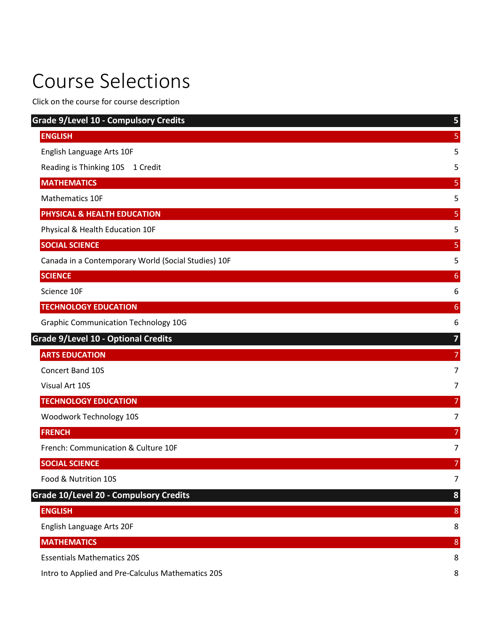# <span id="page-0-0"></span>Course Selections

Click on the course for course description

| <b>Grade 9/Level 10 - Compulsory Credits</b>        | 5              |
|-----------------------------------------------------|----------------|
| <b>ENGLISH</b>                                      | 5              |
| English Language Arts 10F                           | 5              |
| Reading is Thinking 10S<br>1 Credit                 | 5              |
| <b>MATHEMATICS</b>                                  | 5              |
| Mathematics 10F                                     | 5              |
| PHYSICAL & HEALTH EDUCATION                         | 5              |
| Physical & Health Education 10F                     | 5              |
| <b>SOCIAL SCIENCE</b>                               | 5              |
| Canada in a Contemporary World (Social Studies) 10F | 5              |
| <b>SCIENCE</b>                                      | 6              |
| Science 10F                                         | 6              |
| <b>TECHNOLOGY EDUCATION</b>                         | 6              |
| <b>Graphic Communication Technology 10G</b>         | 6              |
| <b>Grade 9/Level 10 - Optional Credits</b>          | 7              |
| <b>ARTS EDUCATION</b>                               | 7              |
| Concert Band 10S                                    | 7              |
| Visual Art 10S                                      | 7              |
| <b>TECHNOLOGY EDUCATION</b>                         | 7              |
| Woodwork Technology 10S                             | 7              |
| <b>FRENCH</b>                                       | 7              |
| French: Communication & Culture 10F                 | 7              |
| <b>SOCIAL SCIENCE</b>                               | 7              |
| Food & Nutrition 10S                                | $\overline{7}$ |
| Grade 10/Level 20 - Compulsory Credits              | 8              |
| <b>ENGLISH</b>                                      | $\bf 8$        |
| English Language Arts 20F                           | 8              |
| <b>MATHEMATICS</b>                                  | $\bf 8$        |
| <b>Essentials Mathematics 20S</b>                   | 8              |
| Intro to Applied and Pre-Calculus Mathematics 20S   | 8              |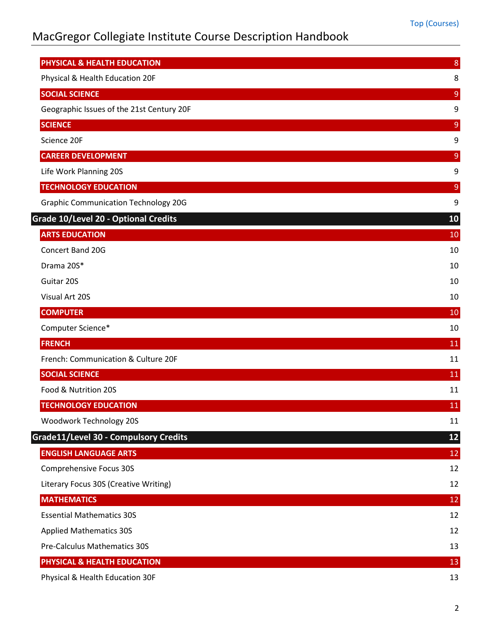| PHYSICAL & HEALTH EDUCATION                  | $\bf 8$         |
|----------------------------------------------|-----------------|
| Physical & Health Education 20F              | 8               |
| <b>SOCIAL SCIENCE</b>                        | $\mathsf 9$     |
| Geographic Issues of the 21st Century 20F    | 9               |
| <b>SCIENCE</b>                               | $\overline{9}$  |
| Science 20F                                  | 9               |
| <b>CAREER DEVELOPMENT</b>                    | $9\,$           |
| Life Work Planning 20S                       | 9               |
| <b>TECHNOLOGY EDUCATION</b>                  | $\mathsf 9$     |
| <b>Graphic Communication Technology 20G</b>  | 9               |
| Grade 10/Level 20 - Optional Credits         | 10              |
| <b>ARTS EDUCATION</b>                        | 10              |
| Concert Band 20G                             | 10              |
| Drama 20S*                                   | 10              |
| Guitar 20S                                   | 10              |
| Visual Art 20S                               | 10              |
| <b>COMPUTER</b>                              | 10              |
| Computer Science*                            | 10              |
| <b>FRENCH</b>                                | 11              |
| French: Communication & Culture 20F          | 11              |
| <b>SOCIAL SCIENCE</b>                        | <b>11</b>       |
| Food & Nutrition 20S                         | 11              |
| <b>TECHNOLOGY EDUCATION</b>                  | 11              |
| Woodwork Technology 20S                      | 11              |
| <b>Grade11/Level 30 - Compulsory Credits</b> | 12              |
| <b>ENGLISH LANGUAGE ARTS</b>                 | 12              |
| <b>Comprehensive Focus 30S</b>               | 12              |
| Literary Focus 30S (Creative Writing)        | 12              |
| <b>MATHEMATICS</b>                           | 12              |
| <b>Essential Mathematics 30S</b>             | 12              |
| <b>Applied Mathematics 30S</b>               | 12              |
| Pre-Calculus Mathematics 30S                 | 13              |
| PHYSICAL & HEALTH EDUCATION                  | $\overline{13}$ |
| Physical & Health Education 30F              | 13              |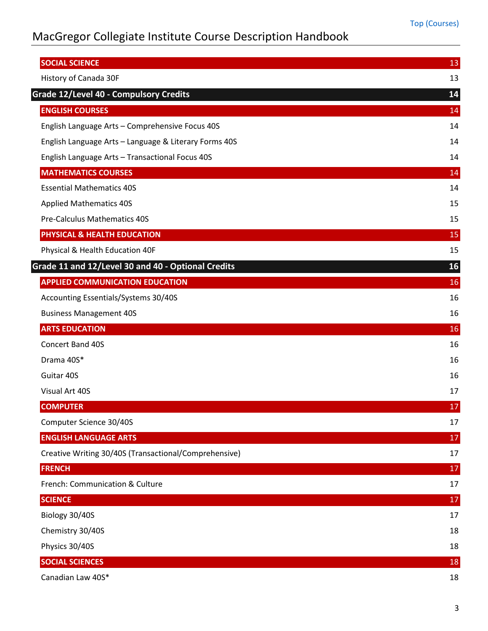| <b>SOCIAL SCIENCE</b>                                 | 13 |
|-------------------------------------------------------|----|
| History of Canada 30F                                 | 13 |
| <b>Grade 12/Level 40 - Compulsory Credits</b>         | 14 |
| <b>ENGLISH COURSES</b>                                | 14 |
| English Language Arts - Comprehensive Focus 40S       | 14 |
| English Language Arts - Language & Literary Forms 40S | 14 |
| English Language Arts - Transactional Focus 40S       | 14 |
| <b>MATHEMATICS COURSES</b>                            | 14 |
| <b>Essential Mathematics 40S</b>                      | 14 |
| <b>Applied Mathematics 40S</b>                        | 15 |
| <b>Pre-Calculus Mathematics 40S</b>                   | 15 |
| PHYSICAL & HEALTH EDUCATION                           | 15 |
| Physical & Health Education 40F                       | 15 |
| Grade 11 and 12/Level 30 and 40 - Optional Credits    | 16 |
| <b>APPLIED COMMUNICATION EDUCATION</b>                | 16 |
| Accounting Essentials/Systems 30/40S                  | 16 |
| <b>Business Management 40S</b>                        | 16 |
| <b>ARTS EDUCATION</b>                                 | 16 |
| Concert Band 40S                                      | 16 |
| Drama 40S*                                            | 16 |
| Guitar 40S                                            | 16 |
| Visual Art 40S                                        | 17 |
| <b>COMPUTER</b>                                       | 17 |
| Computer Science 30/40S                               | 17 |
| <b>ENGLISH LANGUAGE ARTS</b>                          | 17 |
| Creative Writing 30/40S (Transactional/Comprehensive) | 17 |
| <b>FRENCH</b>                                         | 17 |
| French: Communication & Culture                       | 17 |
| <b>SCIENCE</b>                                        | 17 |
| Biology 30/40S                                        | 17 |
| Chemistry 30/40S                                      | 18 |
| Physics 30/40S                                        | 18 |
| <b>SOCIAL SCIENCES</b>                                | 18 |
| Canadian Law 40S*                                     | 18 |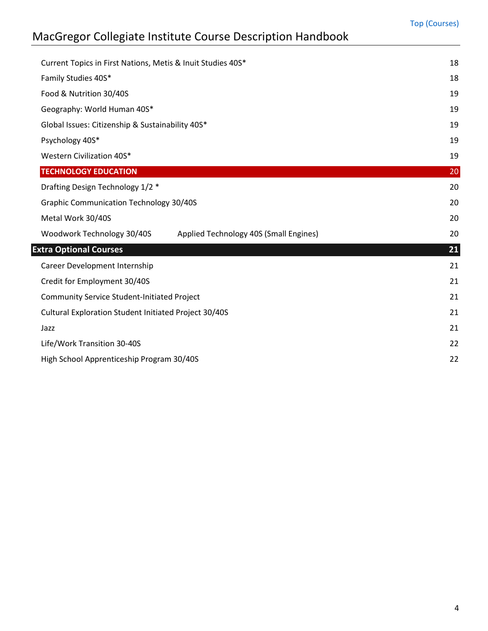| Current Topics in First Nations, Metis & Inuit Studies 40S*          | 18 |
|----------------------------------------------------------------------|----|
| Family Studies 40S*                                                  | 18 |
| Food & Nutrition 30/40S                                              | 19 |
| Geography: World Human 40S*                                          | 19 |
| Global Issues: Citizenship & Sustainability 40S*                     | 19 |
| Psychology 40S*                                                      | 19 |
| Western Civilization 40S*                                            | 19 |
| <b>TECHNOLOGY EDUCATION</b>                                          | 20 |
| Drafting Design Technology 1/2 *                                     | 20 |
| <b>Graphic Communication Technology 30/40S</b>                       | 20 |
| Metal Work 30/40S                                                    | 20 |
| Woodwork Technology 30/40S<br>Applied Technology 40S (Small Engines) | 20 |
| <b>Extra Optional Courses</b>                                        | 21 |
| Career Development Internship                                        | 21 |
| Credit for Employment 30/40S                                         | 21 |
| <b>Community Service Student-Initiated Project</b>                   | 21 |
| Cultural Exploration Student Initiated Project 30/40S                | 21 |
| Jazz                                                                 | 21 |
| Life/Work Transition 30-40S                                          | 22 |
| High School Apprenticeship Program 30/40S                            | 22 |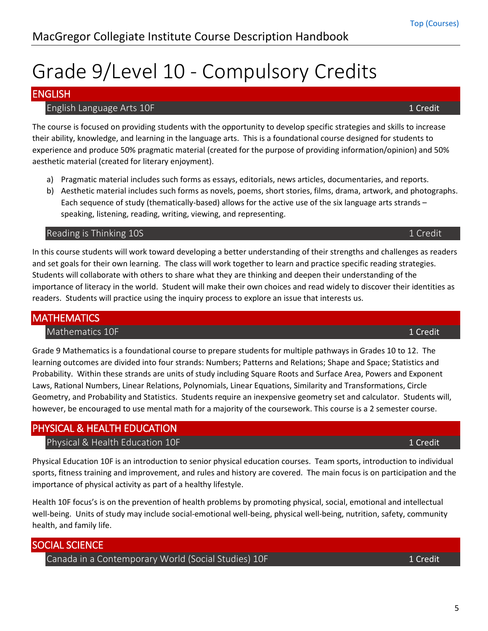# <span id="page-4-0"></span>Grade 9/Level 10 - Compulsory Credits

## <span id="page-4-2"></span><span id="page-4-1"></span>ENGLISH

### **English Language Arts 10F** 1 Credit 1 Credit 1 Credit 1 Credit 1 Credit 1 Credit 1 Credit

The course is focused on providing students with the opportunity to develop specific strategies and skills to increase their ability, knowledge, and learning in the language arts. This is a foundational course designed for students to experience and produce 50% pragmatic material (created for the purpose of providing information/opinion) and 50% aesthetic material (created for literary enjoyment).

- a) Pragmatic material includes such forms as essays, editorials, news articles, documentaries, and reports.
- b) Aesthetic material includes such forms as novels, poems, short stories, films, drama, artwork, and photographs. Each sequence of study (thematically-based) allows for the active use of the six language arts strands – speaking, listening, reading, writing, viewing, and representing.

#### <span id="page-4-3"></span>Reading is Thinking 10S 1 Credit and the control of the control of the control of the control of the control of the control of the control of the control of the control of the control of the control of the control of the c

In this course students will work toward developing a better understanding of their strengths and challenges as readers and set goals for their own learning. The class will work together to learn and practice specific reading strategies. Students will collaborate with others to share what they are thinking and deepen their understanding of the importance of literacy in the world. Student will make their own choices and read widely to discover their identities as readers. Students will practice using the inquiry process to explore an issue that interests us.

### <span id="page-4-5"></span><span id="page-4-4"></span>**MATHEMATICS**

#### Mathematics 10F 1 Credit 1 Credit 1 Credit 1 Credit 1 Credit 1 Credit 1 Credit 1 Credit

Grade 9 Mathematics is a foundational course to prepare students for multiple pathways in Grades 10 to 12. The learning outcomes are divided into four strands: Numbers; Patterns and Relations; Shape and Space; Statistics and Probability. Within these strands are units of study including Square Roots and Surface Area, Powers and Exponent Laws, Rational Numbers, Linear Relations, Polynomials, Linear Equations, Similarity and Transformations, Circle Geometry, and Probability and Statistics. Students require an inexpensive geometry set and calculator. Students will, however, be encouraged to use mental math for a majority of the coursework. This course is a 2 semester course.

### <span id="page-4-7"></span><span id="page-4-6"></span>PHYSICAL & HEALTH EDUCATION

#### Physical & Health Education 10F 1 Credit 2012 1 Credit 2014 1 Credit

Physical Education 10F is an introduction to senior physical education courses. Team sports, introduction to individual sports, fitness training and improvement, and rules and history are covered. The main focus is on participation and the importance of physical activity as part of a healthy lifestyle.

Health 10F focus's is on the prevention of health problems by promoting physical, social, emotional and intellectual well-being. Units of study may include social-emotional well-being, physical well-being, nutrition, safety, community health, and family life.

### <span id="page-4-9"></span><span id="page-4-8"></span>SOCIAL SCIENCE

Canada in a Contemporary World (Social Studies) 10F 1 Credit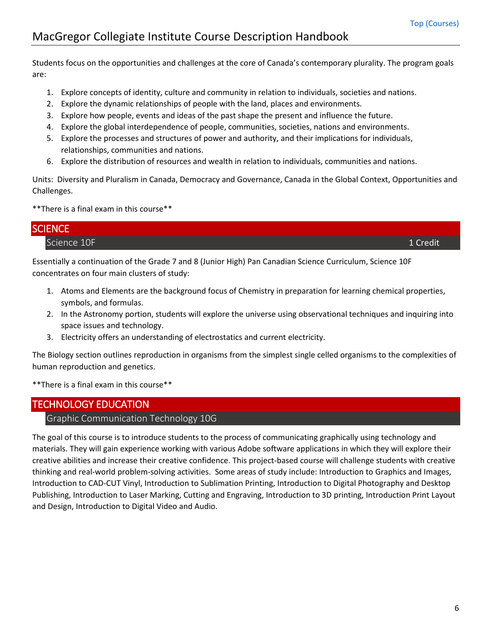Students focus on the opportunities and challenges at the core of Canada's contemporary plurality. The program goals are:

- 1. Explore concepts of identity, culture and community in relation to individuals, societies and nations.
- 2. Explore the dynamic relationships of people with the land, places and environments.
- 3. Explore how people, events and ideas of the past shape the present and influence the future.
- 4. Explore the global interdependence of people, communities, societies, nations and environments.
- 5. Explore the processes and structures of power and authority, and their implications for individuals, relationships, communities and nations.
- 6. Explore the distribution of resources and wealth in relation to individuals, communities and nations.

Units: Diversity and Pluralism in Canada, Democracy and Governance, Canada in the Global Context, Opportunities and Challenges.

\*\*There is a final exam in this course\*\*

# <span id="page-5-1"></span><span id="page-5-0"></span>**SCIENCE** Science 10F 1 Credit 1 Credit 1 Credit 1 Credit 1 Credit 1 Credit 1 Credit 1 Credit 1 Credit 1 Credit 1 Credit

Essentially a continuation of the Grade 7 and 8 (Junior High) Pan Canadian Science Curriculum, Science 10F concentrates on four main clusters of study:

- 1. Atoms and Elements are the background focus of Chemistry in preparation for learning chemical properties, symbols, and formulas.
- 2. In the Astronomy portion, students will explore the universe using observational techniques and inquiring into space issues and technology.
- 3. Electricity offers an understanding of electrostatics and current electricity.

The Biology section outlines reproduction in organisms from the simplest single celled organisms to the complexities of human reproduction and genetics.

\*\*There is a final exam in this course\*\*

#### <span id="page-5-3"></span><span id="page-5-2"></span>TECHNOLOGY EDUCATION

#### Graphic Communication Technology 10G

The goal of this course is to introduce students to the process of communicating graphically using technology and materials. They will gain experience working with various Adobe software applications in which they will explore their creative abilities and increase their creative confidence. This project-based course will challenge students with creative thinking and real-world problem-solving activities. Some areas of study include: Introduction to Graphics and Images, Introduction to CAD-CUT Vinyl, Introduction to Sublimation Printing, Introduction to Digital Photography and Desktop Publishing, Introduction to Laser Marking, Cutting and Engraving, Introduction to 3D printing, Introduction Print Layout and Design, Introduction to Digital Video and Audio.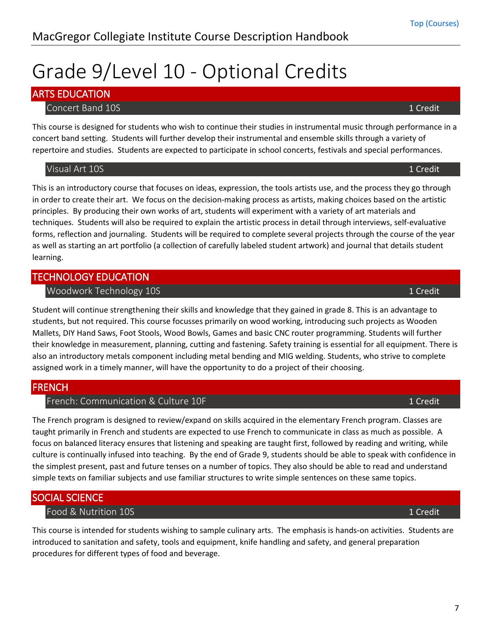# <span id="page-6-0"></span>Grade 9/Level 10 - Optional Credits

# <span id="page-6-2"></span><span id="page-6-1"></span>ARTS EDUCATION

### **Concert Band 10S** 1 Credit 1 Credit 1 Credit 1 Credit 1 Credit 1 Credit 1 Credit 1 Credit 1 Credit 1 Credit 1 Credit

This course is designed for students who wish to continue their studies in instrumental music through performance in a concert band setting. Students will further develop their instrumental and ensemble skills through a variety of repertoire and studies. Students are expected to participate in school concerts, festivals and special performances.

### <span id="page-6-3"></span>Visual Art 10S 1 Credit

This is an introductory course that focuses on ideas, expression, the tools artists use, and the process they go through in order to create their art. We focus on the decision-making process as artists, making choices based on the artistic principles. By producing their own works of art, students will experiment with a variety of art materials and techniques. Students will also be required to explain the artistic process in detail through interviews, self-evaluative forms, reflection and journaling. Students will be required to complete several projects through the course of the year as well as starting an art portfolio (a collection of carefully labeled student artwork) and journal that details student learning.

# <span id="page-6-5"></span><span id="page-6-4"></span>TECHNOLOGY EDUCATION Woodwork Technology 10S 1 Credit 2008 1 Credit 2008 1 Credit 2008 1 Credit

Student will continue strengthening their skills and knowledge that they gained in grade 8. This is an advantage to students, but not required. This course focusses primarily on wood working, introducing such projects as Wooden Mallets, DIY Hand Saws, Foot Stools, Wood Bowls, Games and basic CNC router programming. Students will further their knowledge in measurement, planning, cutting and fastening. Safety training is essential for all equipment. There is also an introductory metals component including metal bending and MIG welding. Students, who strive to complete assigned work in a timely manner, will have the opportunity to do a project of their choosing.

# <span id="page-6-7"></span><span id="page-6-6"></span>FRENCH

### French: Communication & Culture 10F 1 Credit 1 Credit 1 Credit

The French program is designed to review/expand on skills acquired in the elementary French program. Classes are taught primarily in French and students are expected to use French to communicate in class as much as possible. A focus on balanced literacy ensures that listening and speaking are taught first, followed by reading and writing, while culture is continually infused into teaching. By the end of Grade 9, students should be able to speak with confidence in the simplest present, past and future tenses on a number of topics. They also should be able to read and understand simple texts on familiar subjects and use familiar structures to write simple sentences on these same topics.

# <span id="page-6-9"></span><span id="page-6-8"></span>SOCIAL SCIENCE

# Food & Nutrition 10S 1 Credit 2008 1 Credit 2008 1 Credit 2008 1 Credit 2008 2 2008 1 Credit

This course is intended for students wishing to sample culinary arts. The emphasis is hands-on activities. Students are introduced to sanitation and safety, tools and equipment, knife handling and safety, and general preparation procedures for different types of food and beverage.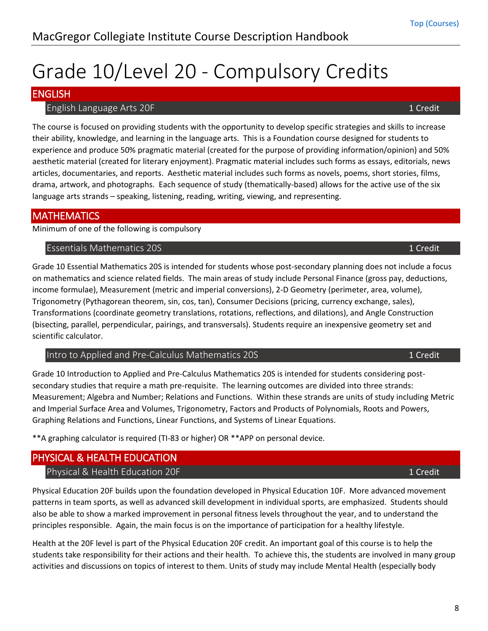8

# <span id="page-7-0"></span>Grade 10/Level 20 - Compulsory Credits

# <span id="page-7-2"></span><span id="page-7-1"></span>ENGLISH

### **English Language Arts 20F** 1 Credit 1 Credit 1 Credit 1 Credit 1 Credit 1 Credit 1 Credit 1 Credit

The course is focused on providing students with the opportunity to develop specific strategies and skills to increase their ability, knowledge, and learning in the language arts. This is a Foundation course designed for students to experience and produce 50% pragmatic material (created for the purpose of providing information/opinion) and 50% aesthetic material (created for literary enjoyment). Pragmatic material includes such forms as essays, editorials, news articles, documentaries, and reports. Aesthetic material includes such forms as novels, poems, short stories, films, drama, artwork, and photographs. Each sequence of study (thematically-based) allows for the active use of the six language arts strands – speaking, listening, reading, writing, viewing, and representing.

## <span id="page-7-3"></span>**MATHEMATICS**

Minimum of one of the following is compulsory

<span id="page-7-4"></span>Essentials Mathematics 20S 1 Credit

Grade 10 Essential Mathematics 20S is intended for students whose post-secondary planning does not include a focus on mathematics and science related fields. The main areas of study include Personal Finance (gross pay, deductions, income formulae), Measurement (metric and imperial conversions), 2-D Geometry (perimeter, area, volume), Trigonometry (Pythagorean theorem, sin, cos, tan), Consumer Decisions (pricing, currency exchange, sales), Transformations (coordinate geometry translations, rotations, reflections, and dilations), and Angle Construction (bisecting, parallel, perpendicular, pairings, and transversals). Students require an inexpensive geometry set and scientific calculator.

<span id="page-7-5"></span>Intro to Applied and Pre-Calculus Mathematics 20S 1 Credit 1 Credit

Grade 10 Introduction to Applied and Pre-Calculus Mathematics 20S is intended for students considering postsecondary studies that require a math pre-requisite. The learning outcomes are divided into three strands: Measurement; Algebra and Number; Relations and Functions. Within these strands are units of study including Metric and Imperial Surface Area and Volumes, Trigonometry, Factors and Products of Polynomials, Roots and Powers, Graphing Relations and Functions, Linear Functions, and Systems of Linear Equations.

\*\*A graphing calculator is required (TI-83 or higher) OR \*\*APP on personal device.

# <span id="page-7-7"></span><span id="page-7-6"></span>PHYSICAL & HEALTH EDUCATION

### Physical & Health Education 20F 1 Credit 200 1 Credit 200 1 Credit

Physical Education 20F builds upon the foundation developed in Physical Education 10F. More advanced movement patterns in team sports, as well as advanced skill development in individual sports, are emphasized. Students should also be able to show a marked improvement in personal fitness levels throughout the year, and to understand the principles responsible. Again, the main focus is on the importance of participation for a healthy lifestyle.

Health at the 20F level is part of the Physical Education 20F credit. An important goal of this course is to help the students take responsibility for their actions and their health. To achieve this, the students are involved in many group activities and discussions on topics of interest to them. Units of study may include Mental Health (especially body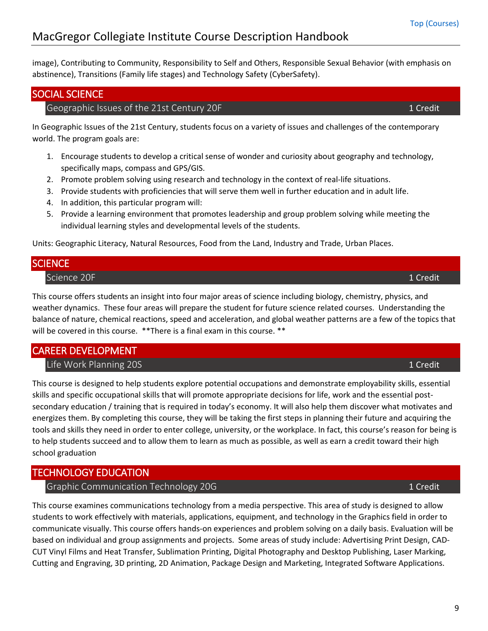image), Contributing to Community, Responsibility to Self and Others, Responsible Sexual Behavior (with emphasis on abstinence), Transitions (Family life stages) and Technology Safety (CyberSafety).

### <span id="page-8-1"></span><span id="page-8-0"></span>SOCIAL SCIENCE

### Geographic Issues of the 21st Century 20F 1 Credit 1 Credit 1 Credit

In Geographic Issues of the 21st Century, students focus on a variety of issues and challenges of the contemporary world. The program goals are:

- 1. Encourage students to develop a critical sense of wonder and curiosity about geography and technology, specifically maps, compass and GPS/GIS.
- 2. Promote problem solving using research and technology in the context of real-life situations.
- 3. Provide students with proficiencies that will serve them well in further education and in adult life.
- 4. In addition, this particular program will:
- 5. Provide a learning environment that promotes leadership and group problem solving while meeting the individual learning styles and developmental levels of the students.

Units: Geographic Literacy, Natural Resources, Food from the Land, Industry and Trade, Urban Places.

## <span id="page-8-3"></span><span id="page-8-2"></span>**SCIENCE**

Science 20F 1 Credit 1 Credit 1 Credit 1 Credit 1 Credit 1 Credit 1 Credit 1 Credit 1 Credit 1 Credit 1 Credit

This course offers students an insight into four major areas of science including biology, chemistry, physics, and weather dynamics. These four areas will prepare the student for future science related courses. Understanding the balance of nature, chemical reactions, speed and acceleration, and global weather patterns are a few of the topics that will be covered in this course. \*\* There is a final exam in this course. \*\*

# <span id="page-8-5"></span><span id="page-8-4"></span>CAREER DEVELOPMENT

Life Work Planning 20S 1 Credit 200 1 Credit 200 1 Credit 200 1 Credit 200 1 Credit

This course is designed to help students explore potential occupations and demonstrate employability skills, essential skills and specific occupational skills that will promote appropriate decisions for life, work and the essential postsecondary education / training that is required in today's economy. It will also help them discover what motivates and energizes them. By completing this course, they will be taking the first steps in planning their future and acquiring the tools and skills they need in order to enter college, university, or the workplace. In fact, this course's reason for being is to help students succeed and to allow them to learn as much as possible, as well as earn a credit toward their high school graduation

# <span id="page-8-7"></span><span id="page-8-6"></span>TECHNOLOGY EDUCATION

Graphic Communication Technology 20G 1 Credit 1 Credit 1 Credit

This course examines communications technology from a media perspective. This area of study is designed to allow students to work effectively with materials, applications, equipment, and technology in the Graphics field in order to communicate visually. This course offers hands-on experiences and problem solving on a daily basis. Evaluation will be based on individual and group assignments and projects. Some areas of study include: Advertising Print Design, CAD-CUT Vinyl Films and Heat Transfer, Sublimation Printing, Digital Photography and Desktop Publishing, Laser Marking, Cutting and Engraving, 3D printing, 2D Animation, Package Design and Marketing, Integrated Software Applications.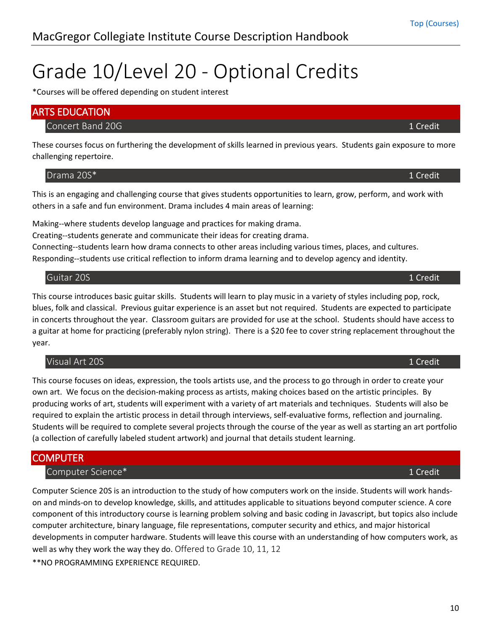# <span id="page-9-0"></span>Grade 10/Level 20 - Optional Credits

\*Courses will be offered depending on student interest

<span id="page-9-2"></span><span id="page-9-1"></span>

| <b>ARTS EDUCATION</b> |          |
|-----------------------|----------|
| Concert Band 20G      | 1 Credit |

These courses focus on furthering the development of skills learned in previous years. Students gain exposure to more challenging repertoire.

<span id="page-9-3"></span>Drama 20S\* 1 Credit

This is an engaging and challenging course that gives students opportunities to learn, grow, perform, and work with others in a safe and fun environment. Drama includes 4 main areas of learning:

Making--where students develop language and practices for making drama.

Creating--students generate and communicate their ideas for creating drama.

Connecting--students learn how drama connects to other areas including various times, places, and cultures. Responding--students use critical reflection to inform drama learning and to develop agency and identity.

#### <span id="page-9-4"></span>Guitar 20S 1 Credit

This course introduces basic guitar skills. Students will learn to play music in a variety of styles including pop, rock, blues, folk and classical. Previous guitar experience is an asset but not required. Students are expected to participate in concerts throughout the year. Classroom guitars are provided for use at the school. Students should have access to a guitar at home for practicing (preferably nylon string). There is a \$20 fee to cover string replacement throughout the year.

#### <span id="page-9-5"></span>Visual Art 20S 1 Credit

This course focuses on ideas, expression, the tools artists use, and the process to go through in order to create your own art. We focus on the decision-making process as artists, making choices based on the artistic principles. By producing works of art, students will experiment with a variety of art materials and techniques. Students will also be required to explain the artistic process in detail through interviews, self-evaluative forms, reflection and journaling. Students will be required to complete several projects through the course of the year as well as starting an art portfolio (a collection of carefully labeled student artwork) and journal that details student learning.

### <span id="page-9-7"></span><span id="page-9-6"></span>**COMPUTER**

#### Computer Science\* 1 Credit

Computer Science 20S is an introduction to the study of how computers work on the inside. Students will work handson and minds-on to develop knowledge, skills, and attitudes applicable to situations beyond computer science. A core component of this introductory course is learning problem solving and basic coding in Javascript, but topics also include computer architecture, binary language, file representations, computer security and ethics, and major historical developments in computer hardware. Students will leave this course with an understanding of how computers work, as well as why they work the way they do. Offered to Grade 10, 11, 12

\*\*NO PROGRAMMING EXPERIENCE REQUIRED.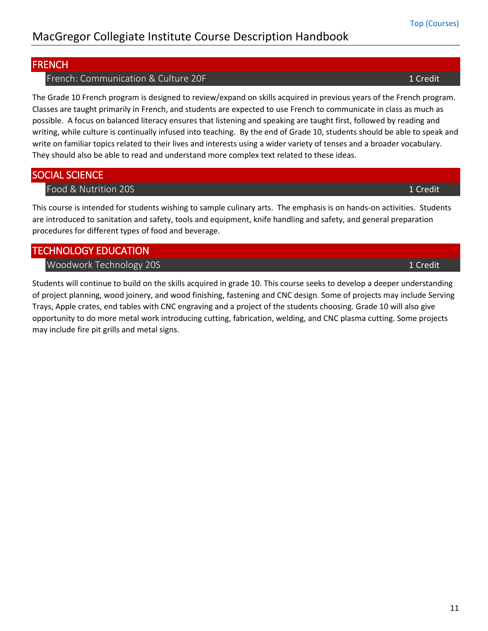# <span id="page-10-1"></span><span id="page-10-0"></span>FRENCH

French: Communication & Culture 20F 1 Credit 1 Credit 1 Credit

The Grade 10 French program is designed to review/expand on skills acquired in previous years of the French program. Classes are taught primarily in French, and students are expected to use French to communicate in class as much as possible. A focus on balanced literacy ensures that listening and speaking are taught first, followed by reading and writing, while culture is continually infused into teaching. By the end of Grade 10, students should be able to speak and write on familiar topics related to their lives and interests using a wider variety of tenses and a broader vocabulary. They should also be able to read and understand more complex text related to these ideas.

# <span id="page-10-3"></span><span id="page-10-2"></span>SOCIAL SCIENCE

Food & Nutrition 20S 1 Credit

This course is intended for students wishing to sample culinary arts. The emphasis is on hands-on activities. Students are introduced to sanitation and safety, tools and equipment, knife handling and safety, and general preparation procedures for different types of food and beverage.

# <span id="page-10-5"></span><span id="page-10-4"></span>TECHNOLOGY EDUCATION

Woodwork Technology 20S 1 Credit 200 1 Credit 200 1 Credit 200 1 Credit 200 1 Credit

Students will continue to build on the skills acquired in grade 10. This course seeks to develop a deeper understanding of project planning, wood joinery, and wood finishing, fastening and CNC design. Some of projects may include Serving Trays, Apple crates, end tables with CNC engraving and a project of the students choosing. Grade 10 will also give opportunity to do more metal work introducing cutting, fabrication, welding, and CNC plasma cutting. Some projects may include fire pit grills and metal signs.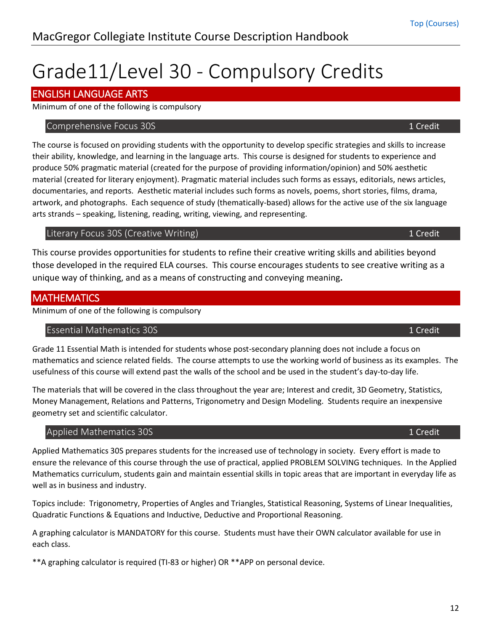# <span id="page-11-0"></span>Grade11/Level 30 - Compulsory Credits

# <span id="page-11-1"></span>ENGLISH LANGUAGE ARTS

Minimum of one of the following is compulsory

### <span id="page-11-2"></span>Comprehensive Focus 30S 1 Credit 2008 1 Credit 2008 1 Credit 2008 1 Credit 2008 1 Credit

The course is focused on providing students with the opportunity to develop specific strategies and skills to increase their ability, knowledge, and learning in the language arts. This course is designed for students to experience and produce 50% pragmatic material (created for the purpose of providing information/opinion) and 50% aesthetic material (created for literary enjoyment). Pragmatic material includes such forms as essays, editorials, news articles, documentaries, and reports. Aesthetic material includes such forms as novels, poems, short stories, films, drama, artwork, and photographs. Each sequence of study (thematically-based) allows for the active use of the six language arts strands – speaking, listening, reading, writing, viewing, and representing.

# <span id="page-11-3"></span>Literary Focus 30S (Creative Writing) **1** Company 1 Credit

This course provides opportunities for students to refine their creative writing skills and abilities beyond those developed in the required ELA courses. This course encourages students to see creative writing as a unique way of thinking, and as a means of constructing and conveying meaning**.** 

# <span id="page-11-4"></span>**MATHEMATICS**

Minimum of one of the following is compulsory

# <span id="page-11-5"></span>Essential Mathematics 30S 1 Credit

Grade 11 Essential Math is intended for students whose post-secondary planning does not include a focus on mathematics and science related fields. The course attempts to use the working world of business as its examples. The usefulness of this course will extend past the walls of the school and be used in the student's day-to-day life.

The materials that will be covered in the class throughout the year are; Interest and credit, 3D Geometry, Statistics, Money Management, Relations and Patterns, Trigonometry and Design Modeling. Students require an inexpensive geometry set and scientific calculator.

# <span id="page-11-6"></span>Applied Mathematics 30S 1 Credit 2008 1 Credit 2008 1 Credit 2008 1 Credit

Applied Mathematics 30S prepares students for the increased use of technology in society. Every effort is made to ensure the relevance of this course through the use of practical, applied PROBLEM SOLVING techniques. In the Applied Mathematics curriculum, students gain and maintain essential skills in topic areas that are important in everyday life as well as in business and industry.

Topics include: Trigonometry, Properties of Angles and Triangles, Statistical Reasoning, Systems of Linear Inequalities, Quadratic Functions & Equations and Inductive, Deductive and Proportional Reasoning.

A graphing calculator is MANDATORY for this course. Students must have their OWN calculator available for use in each class.

\*\*A graphing calculator is required (TI-83 or higher) OR \*\*APP on personal device.

[Top \(Courses\)](#page-0-0)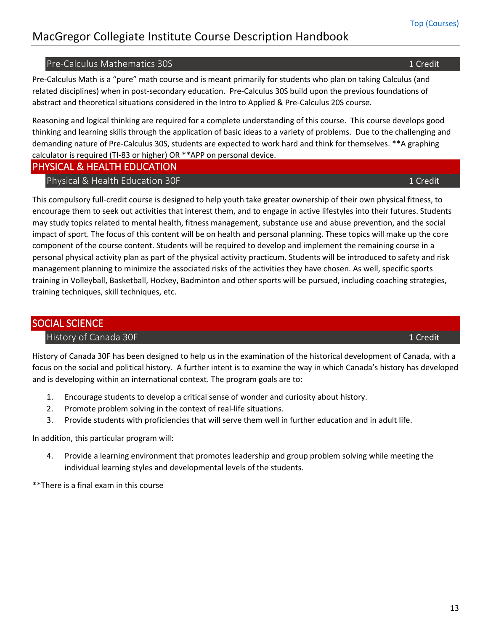#### <span id="page-12-0"></span>Pre-Calculus Mathematics 30S 1 Credit 1 Credit 1 Credit 1 Credit 1 Credit 1 Credit

Pre-Calculus Math is a "pure" math course and is meant primarily for students who plan on taking Calculus (and related disciplines) when in post-secondary education. Pre-Calculus 30S build upon the previous foundations of abstract and theoretical situations considered in the Intro to Applied & Pre-Calculus 20S course.

Reasoning and logical thinking are required for a complete understanding of this course. This course develops good thinking and learning skills through the application of basic ideas to a variety of problems. Due to the challenging and demanding nature of Pre-Calculus 30S, students are expected to work hard and think for themselves. \*\*A graphing calculator is required (TI-83 or higher) OR \*\*APP on personal device.

#### <span id="page-12-2"></span><span id="page-12-1"></span>PHYSICAL & HEALTH EDUCATION

#### Physical & Health Education 30F 1 Credit 2008 1 Credit 2008 1 Credit

This compulsory full-credit course is designed to help youth take greater ownership of their own physical fitness, to encourage them to seek out activities that interest them, and to engage in active lifestyles into their futures. Students may study topics related to mental health, fitness management, substance use and abuse prevention, and the social impact of sport. The focus of this content will be on health and personal planning. These topics will make up the core component of the course content. Students will be required to develop and implement the remaining course in a personal physical activity plan as part of the physical activity practicum. Students will be introduced to safety and risk management planning to minimize the associated risks of the activities they have chosen. As well, specific sports training in Volleyball, Basketball, Hockey, Badminton and other sports will be pursued, including coaching strategies, training techniques, skill techniques, etc.

### <span id="page-12-4"></span><span id="page-12-3"></span>SOCIAL SCIENCE

#### History of Canada 30F 1 Credit 2008 1 Credit 2008 1 Credit 2008 1 Credit 2008 1 Credit

History of Canada 30F has been designed to help us in the examination of the historical development of Canada, with a focus on the social and political history. A further intent is to examine the way in which Canada's history has developed and is developing within an international context. The program goals are to:

- 1. Encourage students to develop a critical sense of wonder and curiosity about history.
- 2. Promote problem solving in the context of real-life situations.
- 3. Provide students with proficiencies that will serve them well in further education and in adult life.

In addition, this particular program will:

4. Provide a learning environment that promotes leadership and group problem solving while meeting the individual learning styles and developmental levels of the students.

\*\*There is a final exam in this course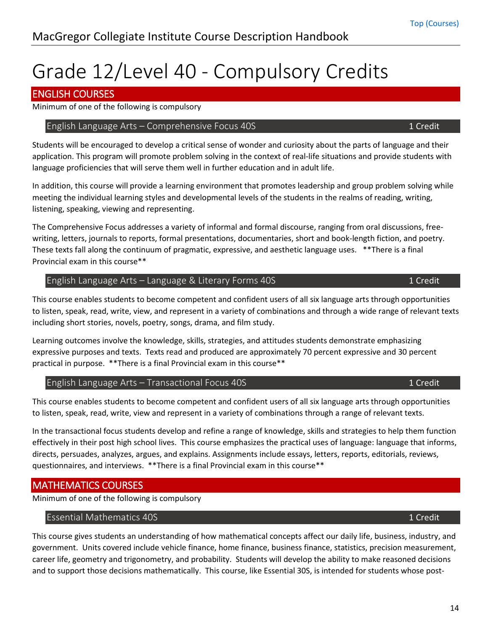# <span id="page-13-0"></span>Grade 12/Level 40 - Compulsory Credits

# <span id="page-13-1"></span>ENGLISH COURSES

Minimum of one of the following is compulsory

### <span id="page-13-2"></span>English Language Arts – Comprehensive Focus 40S 1 Credit 1 Credit

Students will be encouraged to develop a critical sense of wonder and curiosity about the parts of language and their application. This program will promote problem solving in the context of real-life situations and provide students with language proficiencies that will serve them well in further education and in adult life.

In addition, this course will provide a learning environment that promotes leadership and group problem solving while meeting the individual learning styles and developmental levels of the students in the realms of reading, writing, listening, speaking, viewing and representing.

The Comprehensive Focus addresses a variety of informal and formal discourse, ranging from oral discussions, freewriting, letters, journals to reports, formal presentations, documentaries, short and book-length fiction, and poetry. These texts fall along the continuum of pragmatic, expressive, and aesthetic language uses. \*\*There is a final Provincial exam in this course\*\*

### <span id="page-13-3"></span>English Language Arts – Language & Literary Forms 40S 1 Credit 1 Credit

This course enables students to become competent and confident users of all six language arts through opportunities to listen, speak, read, write, view, and represent in a variety of combinations and through a wide range of relevant texts including short stories, novels, poetry, songs, drama, and film study.

Learning outcomes involve the knowledge, skills, strategies, and attitudes students demonstrate emphasizing expressive purposes and texts. Texts read and produced are approximately 70 percent expressive and 30 percent practical in purpose. \*\*There is a final Provincial exam in this course\*\*

### <span id="page-13-4"></span>English Language Arts – Transactional Focus 40S 1 Credit 1 Credit

This course enables students to become competent and confident users of all six language arts through opportunities to listen, speak, read, write, view and represent in a variety of combinations through a range of relevant texts.

In the transactional focus students develop and refine a range of knowledge, skills and strategies to help them function effectively in their post high school lives. This course emphasizes the practical uses of language: language that informs, directs, persuades, analyzes, argues, and explains. Assignments include essays, letters, reports, editorials, reviews, questionnaires, and interviews. \*\*There is a final Provincial exam in this course\*\*

# <span id="page-13-5"></span>MATHEMATICS COURSES

Minimum of one of the following is compulsory

### <span id="page-13-6"></span>Essential Mathematics 40S 1 Credit

This course gives students an understanding of how mathematical concepts affect our daily life, business, industry, and government. Units covered include vehicle finance, home finance, business finance, statistics, precision measurement, career life, geometry and trigonometry, and probability. Students will develop the ability to make reasoned decisions and to support those decisions mathematically. This course, like Essential 30S, is intended for students whose post-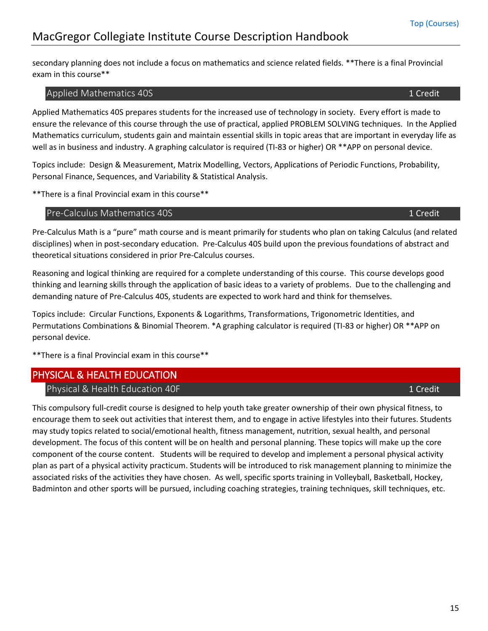secondary planning does not include a focus on mathematics and science related fields. \*\*There is a final Provincial exam in this course\*\*

#### <span id="page-14-0"></span>Applied Mathematics 40S 1 Credit 1 Credit 1 Credit 1 Credit 1 Credit 1 Credit 1 Credit 1 Credit 1 Credit 1 Credit

Applied Mathematics 40S prepares students for the increased use of technology in society. Every effort is made to ensure the relevance of this course through the use of practical, applied PROBLEM SOLVING techniques. In the Applied Mathematics curriculum, students gain and maintain essential skills in topic areas that are important in everyday life as well as in business and industry. A graphing calculator is required (TI-83 or higher) OR \*\*APP on personal device.

Topics include: Design & Measurement, Matrix Modelling, Vectors, Applications of Periodic Functions, Probability, Personal Finance, Sequences, and Variability & Statistical Analysis.

\*\*There is a final Provincial exam in this course\*\*

#### <span id="page-14-1"></span>Pre-Calculus Mathematics 40S 1 Credit 1 Credit 1 Credit 1 Credit 1 Credit

Pre-Calculus Math is a "pure" math course and is meant primarily for students who plan on taking Calculus (and related disciplines) when in post-secondary education. Pre-Calculus 40S build upon the previous foundations of abstract and theoretical situations considered in prior Pre-Calculus courses.

Reasoning and logical thinking are required for a complete understanding of this course. This course develops good thinking and learning skills through the application of basic ideas to a variety of problems. Due to the challenging and demanding nature of Pre-Calculus 40S, students are expected to work hard and think for themselves.

Topics include: Circular Functions, Exponents & Logarithms, Transformations, Trigonometric Identities, and Permutations Combinations & Binomial Theorem. \*A graphing calculator is required (TI-83 or higher) OR \*\*APP on personal device.

\*\*There is a final Provincial exam in this course\*\*

# <span id="page-14-3"></span><span id="page-14-2"></span>PHYSICAL & HEALTH EDUCATION

#### Physical & Health Education 40F 1 Credit 2008 1 Credit 2008 1 Credit

This compulsory full-credit course is designed to help youth take greater ownership of their own physical fitness, to encourage them to seek out activities that interest them, and to engage in active lifestyles into their futures. Students may study topics related to social/emotional health, fitness management, nutrition, sexual health, and personal development. The focus of this content will be on health and personal planning. These topics will make up the core component of the course content. Students will be required to develop and implement a personal physical activity plan as part of a physical activity practicum. Students will be introduced to risk management planning to minimize the associated risks of the activities they have chosen. As well, specific sports training in Volleyball, Basketball, Hockey, Badminton and other sports will be pursued, including coaching strategies, training techniques, skill techniques, etc.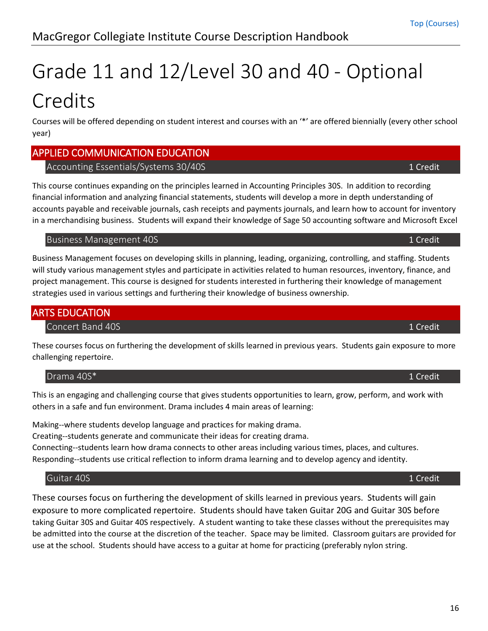# <span id="page-15-0"></span>Grade 11 and 12/Level 30 and 40 - Optional Credits

Courses will be offered depending on student interest and courses with an '\*' are offered biennially (every other school year)

# <span id="page-15-2"></span><span id="page-15-1"></span>APPLIED COMMUNICATION EDUCATION

# Accounting Essentials/Systems 30/40S 1 Credit 2008 1 Credit

This course continues expanding on the principles learned in Accounting Principles 30S. In addition to recording financial information and analyzing financial statements, students will develop a more in depth understanding of accounts payable and receivable journals, cash receipts and payments journals, and learn how to account for inventory in a merchandising business. Students will expand their knowledge of Sage 50 accounting software and Microsoft Excel

### <span id="page-15-3"></span>Business Management 40S 1 Credit and the state of the state of the state of the state of the state of the state of the state of the state of the state of the state of the state of the state of the state of the state of the

Business Management focuses on developing skills in planning, leading, organizing, controlling, and staffing. Students will study various management styles and participate in activities related to human resources, inventory, finance, and project management. This course is designed for students interested in furthering their knowledge of management strategies used in various settings and furthering their knowledge of business ownership.

# <span id="page-15-5"></span><span id="page-15-4"></span>ARTS EDUCATION

# Concert Band 40S 1 Credit 1 Credit 1 Credit 1 Credit 1 Credit 1 Credit 1 Credit 1 Credit 1 Credit 1 Credit 1 Credit

These courses focus on furthering the development of skills learned in previous years. Students gain exposure to more challenging repertoire.

<span id="page-15-6"></span>Drama 40S\* 1 Credit

This is an engaging and challenging course that gives students opportunities to learn, grow, perform, and work with others in a safe and fun environment. Drama includes 4 main areas of learning:

Making--where students develop language and practices for making drama.

Creating--students generate and communicate their ideas for creating drama.

Connecting--students learn how drama connects to other areas including various times, places, and cultures. Responding--students use critical reflection to inform drama learning and to develop agency and identity.

# <span id="page-15-7"></span>Guitar 40S 1 Credit

<span id="page-15-8"></span>These courses focus on furthering the development of skills learned in previous years. Students will gain exposure to more complicated repertoire. Students should have taken Guitar 20G and Guitar 30S before taking Guitar 30S and Guitar 40S respectively. A student wanting to take these classes without the prerequisites may be admitted into the course at the discretion of the teacher. Space may be limited. Classroom guitars are provided for use at the school. Students should have access to a guitar at home for practicing (preferably nylon string.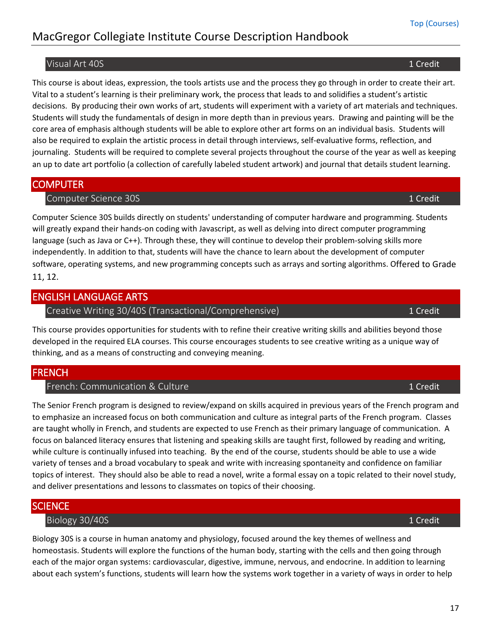17

# MacGregor Collegiate Institute Course Description Handbook

#### Visual Art 40S 1 Credit

This course is about ideas, expression, the tools artists use and the process they go through in order to create their art. Vital to a student's learning is their preliminary work, the process that leads to and solidifies a student's artistic decisions. By producing their own works of art, students will experiment with a variety of art materials and techniques. Students will study the fundamentals of design in more depth than in previous years. Drawing and painting will be the core area of emphasis although students will be able to explore other art forms on an individual basis. Students will also be required to explain the artistic process in detail through interviews, self-evaluative forms, reflection, and journaling. Students will be required to complete several projects throughout the course of the year as well as keeping an up to date art portfolio (a collection of carefully labeled student artwork) and journal that details student learning.

# <span id="page-16-1"></span><span id="page-16-0"></span>**COMPUTER**

### **Computer Science 30S** 1 Credit 200 and 200 and 200 and 200 and 200 and 200 and 200 and 200 and 200 and 200 and 200 and 200 and 200 and 200 and 200 and 200 and 200 and 200 and 200 and 200 and 200 and 200 and 200 and 200 an

Computer Science 30S builds directly on students' understanding of computer hardware and programming. Students will greatly expand their hands-on coding with Javascript, as well as delving into direct computer programming language (such as Java or C++). Through these, they will continue to develop their problem-solving skills more independently. In addition to that, students will have the chance to learn about the development of computer software, operating systems, and new programming concepts such as arrays and sorting algorithms. Offered to Grade 11, 12.

# <span id="page-16-3"></span><span id="page-16-2"></span>ENGLISH LANGUAGE ARTS

Creative Writing 30/40S (Transactional/Comprehensive) 1 Credit

This course provides opportunities for students with to refine their creative writing skills and abilities beyond those developed in the required ELA courses. This course encourages students to see creative writing as a unique way of thinking, and as a means of constructing and conveying meaning.

### <span id="page-16-5"></span><span id="page-16-4"></span>**FRENCH**

### French: Communication & Culture 1 Credit 1 Credit

The Senior French program is designed to review/expand on skills acquired in previous years of the French program and to emphasize an increased focus on both communication and culture as integral parts of the French program. Classes are taught wholly in French, and students are expected to use French as their primary language of communication. A focus on balanced literacy ensures that listening and speaking skills are taught first, followed by reading and writing, while culture is continually infused into teaching. By the end of the course, students should be able to use a wide variety of tenses and a broad vocabulary to speak and write with increasing spontaneity and confidence on familiar topics of interest. They should also be able to read a novel, write a formal essay on a topic related to their novel study, and deliver presentations and lessons to classmates on topics of their choosing.

# <span id="page-16-7"></span><span id="page-16-6"></span>**SCIENCE**

#### Biology 30/40S **1** Credit 2008 **1** Credit 2008 **1** Credit 2008 **1** Credit 2008 **1** Credit 2008 **1** Credit 2008 **1** Credit 2008 **1** Credit 2008 **1** Credit 2008 **1** Credit 2008 **2008** 2008 **2008** 2008 2009 2008 2009 2008 200

Biology 30S is a course in human anatomy and physiology, focused around the key themes of wellness and homeostasis. Students will explore the functions of the human body, starting with the cells and then going through each of the major organ systems: cardiovascular, digestive, immune, nervous, and endocrine. In addition to learning about each system's functions, students will learn how the systems work together in a variety of ways in order to help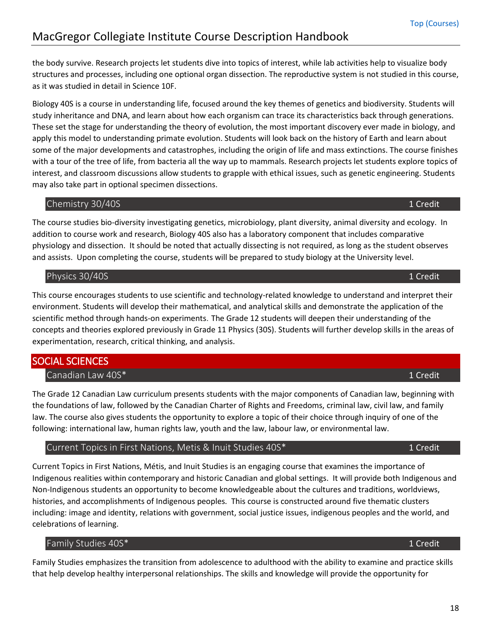the body survive. Research projects let students dive into topics of interest, while lab activities help to visualize body structures and processes, including one optional organ dissection. The reproductive system is not studied in this course, as it was studied in detail in Science 10F.

Biology 40S is a course in understanding life, focused around the key themes of genetics and biodiversity. Students will study inheritance and DNA, and learn about how each organism can trace its characteristics back through generations. These set the stage for understanding the theory of evolution, the most important discovery ever made in biology, and apply this model to understanding primate evolution. Students will look back on the history of Earth and learn about some of the major developments and catastrophes, including the origin of life and mass extinctions. The course finishes with a tour of the tree of life, from bacteria all the way up to mammals. Research projects let students explore topics of interest, and classroom discussions allow students to grapple with ethical issues, such as genetic engineering. Students may also take part in optional specimen dissections.

#### <span id="page-17-0"></span>Chemistry 30/40S **1** Credit **1** Credit **1** Credit **1** Credit **1** Credit **1** Credit **1** Credit **1** Credit **1** Credit **1** Credit **1** Credit **1** Credit **1** Credit **1** Credit **1** Credit **1** Credit **1** Credit **1** Credit **1** Cre

The course studies bio-diversity investigating genetics, microbiology, plant diversity, animal diversity and ecology. In addition to course work and research, Biology 40S also has a laboratory component that includes comparative physiology and dissection. It should be noted that actually dissecting is not required, as long as the student observes and assists. Upon completing the course, students will be prepared to study biology at the University level.

### <span id="page-17-1"></span>Physics 30/40S **1** Credit **1**

This course encourages students to use scientific and technology-related knowledge to understand and interpret their environment. Students will develop their mathematical, and analytical skills and demonstrate the application of the scientific method through hands-on experiments. The Grade 12 students will deepen their understanding of the concepts and theories explored previously in Grade 11 Physics (30S). Students will further develop skills in the areas of experimentation, research, critical thinking, and analysis.

# <span id="page-17-3"></span><span id="page-17-2"></span>SOCIAL SCIENCES

Canadian Law 40S\* 1 Credit 2008 1 Credit 2008 1 Credit 2008 1 Credit 2008 1 Credit

The Grade 12 Canadian Law curriculum presents students with the major components of Canadian law, beginning with the foundations of law, followed by the Canadian Charter of Rights and Freedoms, criminal law, civil law, and family law. The course also gives students the opportunity to explore a topic of their choice through inquiry of one of the following: international law, human rights law, youth and the law, labour law, or environmental law.

### <span id="page-17-4"></span>Current Topics in First Nations, Metis & Inuit Studies 40S\* 1 1 2 1 2 1 2 1 Credit

Current Topics in First Nations, Métis, and Inuit Studies is an engaging course that examines the importance of Indigenous realities within contemporary and historic Canadian and global settings. It will provide both Indigenous and Non-Indigenous students an opportunity to become knowledgeable about the cultures and traditions, worldviews, histories, and accomplishments of Indigenous peoples. This course is constructed around five thematic clusters including: image and identity, relations with government, social justice issues, indigenous peoples and the world, and celebrations of learning.

# <span id="page-17-5"></span>Family Studies 40S\* 1 Credit 1 Credit 1 Credit 1 Credit 1 Credit 1 Credit 1 Credit 1 Credit 1 Credit 1 Credit

Family Studies emphasizes the transition from adolescence to adulthood with the ability to examine and practice skills that help develop healthy interpersonal relationships. The skills and knowledge will provide the opportunity for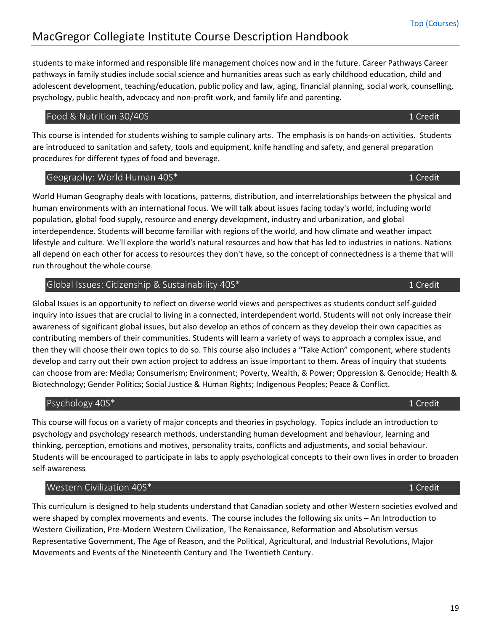students to make informed and responsible life management choices now and in the future. Career Pathways Career pathways in family studies include social science and humanities areas such as early childhood education, child and adolescent development, teaching/education, public policy and law, aging, financial planning, social work, counselling, psychology, public health, advocacy and non-profit work, and family life and parenting.

#### <span id="page-18-0"></span>Food & Nutrition 30/40S 1 Credit

This course is intended for students wishing to sample culinary arts. The emphasis is on hands-on activities. Students are introduced to sanitation and safety, tools and equipment, knife handling and safety, and general preparation procedures for different types of food and beverage.

#### <span id="page-18-1"></span>Geography: World Human 40S\* 1 Credit

World Human Geography deals with locations, patterns, distribution, and interrelationships between the physical and human environments with an international focus. We will talk about issues facing today's world, including world population, global food supply, resource and energy development, industry and urbanization, and global interdependence. Students will become familiar with regions of the world, and how climate and weather impact lifestyle and culture. We'll explore the world's natural resources and how that has led to industries in nations. Nations all depend on each other for access to resources they don't have, so the concept of connectedness is a theme that will run throughout the whole course.

### <span id="page-18-2"></span>Global Issues: Citizenship & Sustainability 40S\* 1 Credit 1 Credit 1 Credit

Global Issues is an opportunity to reflect on diverse world views and perspectives as students conduct self-guided inquiry into issues that are crucial to living in a connected, interdependent world. Students will not only increase their awareness of significant global issues, but also develop an ethos of concern as they develop their own capacities as contributing members of their communities. Students will learn a variety of ways to approach a complex issue, and then they will choose their own topics to do so. This course also includes a "Take Action" component, where students develop and carry out their own action project to address an issue important to them. Areas of inquiry that students can choose from are: Media; Consumerism; Environment; Poverty, Wealth, & Power; Oppression & Genocide; Health & Biotechnology; Gender Politics; Social Justice & Human Rights; Indigenous Peoples; Peace & Conflict.

### <span id="page-18-3"></span>Psychology 40S\* 1 Credit 1 Credit 1 Credit 1 Credit 1 Credit 1 Credit 1 Credit 1 Credit 1 Credit 1 Credit 1 Credit 1 Credit 1 Credit 1 Credit 1 Credit 1 Credit 1 Credit 1 Credit 1 Credit 1 Credit 1 Credit 1 Credit 1 Credit

This course will focus on a variety of major concepts and theories in psychology. Topics include an introduction to psychology and psychology research methods, understanding human development and behaviour, learning and thinking, perception, emotions and motives, personality traits, conflicts and adjustments, and social behaviour. Students will be encouraged to participate in labs to apply psychological concepts to their own lives in order to broaden self-awareness

### <span id="page-18-4"></span>Western Civilization 40S\* 1 Credit

This curriculum is designed to help students understand that Canadian society and other Western societies evolved and were shaped by complex movements and events. The course includes the following six units – An Introduction to Western Civilization, Pre-Modern Western Civilization, The Renaissance, Reformation and Absolutism versus Representative Government, The Age of Reason, and the Political, Agricultural, and Industrial Revolutions, Major Movements and Events of the Nineteenth Century and The Twentieth Century.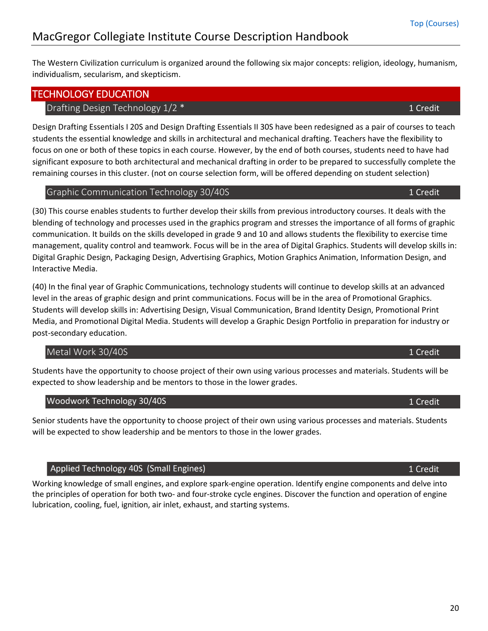The Western Civilization curriculum is organized around the following six major concepts: religion, ideology, humanism, individualism, secularism, and skepticism.

### <span id="page-19-1"></span><span id="page-19-0"></span>TECHNOLOGY EDUCATION

### Drafting Design Technology 1/2 \* 1 Credit 1 Credit 1 Credit

Design Drafting Essentials I 20S and Design Drafting Essentials II 30S have been redesigned as a pair of courses to teach students the essential knowledge and skills in architectural and mechanical drafting. Teachers have the flexibility to focus on one or both of these topics in each course. However, by the end of both courses, students need to have had significant exposure to both architectural and mechanical drafting in order to be prepared to successfully complete the remaining courses in this cluster. (not on course selection form, will be offered depending on student selection)

#### <span id="page-19-2"></span>Graphic Communication Technology 30/40S 1 Credit 1 Credit

(30) This course enables students to further develop their skills from previous introductory courses. It deals with the blending of technology and processes used in the graphics program and stresses the importance of all forms of graphic communication. It builds on the skills developed in grade 9 and 10 and allows students the flexibility to exercise time management, quality control and teamwork. Focus will be in the area of Digital Graphics. Students will develop skills in: Digital Graphic Design, Packaging Design, Advertising Graphics, Motion Graphics Animation, Information Design, and Interactive Media.

(40) In the final year of Graphic Communications, technology students will continue to develop skills at an advanced level in the areas of graphic design and print communications. Focus will be in the area of Promotional Graphics. Students will develop skills in: Advertising Design, Visual Communication, Brand Identity Design, Promotional Print Media, and Promotional Digital Media. Students will develop a Graphic Design Portfolio in preparation for industry or post-secondary education.

### <span id="page-19-3"></span>Metal Work 30/40S **1** Credit

Students have the opportunity to choose project of their own using various processes and materials. Students will be expected to show leadership and be mentors to those in the lower grades.

### <span id="page-19-4"></span>Woodwork Technology 30/40S 1 20 and 200 and 200 and 200 and 200 and 200 and 200 and 200 and 200 and 200 and 20

Senior students have the opportunity to choose project of their own using various processes and materials. Students will be expected to show leadership and be mentors to those in the lower grades.

### Applied Technology 40S (Small Engines)

Working knowledge of small engines, and explore spark-engine operation. Identify engine components and delve into the principles of operation for both two- and four-stroke cycle engines. Discover the function and operation of engine lubrication, cooling, fuel, ignition, air inlet, exhaust, and starting systems.

# 1 Credit

t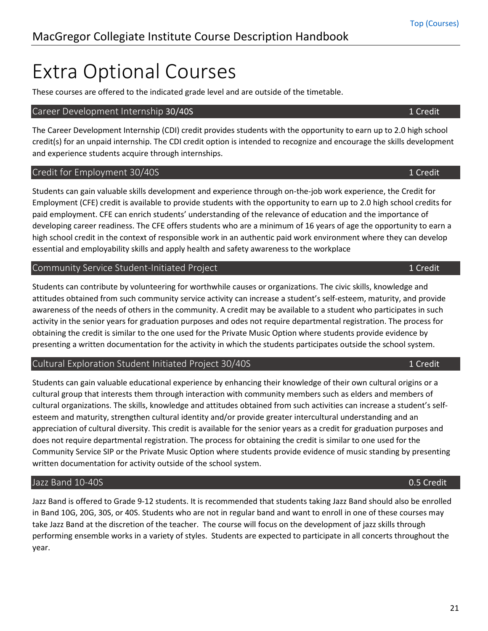# <span id="page-20-0"></span>Extra Optional Courses

These courses are offered to the indicated grade level and are outside of the timetable.

#### <span id="page-20-1"></span>Career Development Internship 30/40S 1 Credit 1 Credit 1 Credit 1 Credit 1 Credit

The Career Development Internship (CDI) credit provides students with the opportunity to earn up to 2.0 high school credit(s) for an unpaid internship. The CDI credit option is intended to recognize and encourage the skills development and experience students acquire through internships.

#### <span id="page-20-2"></span>Credit for Employment 30/40S 1 Credit

Students can gain valuable skills development and experience through on-the-job work experience, the Credit for Employment (CFE) credit is available to provide students with the opportunity to earn up to 2.0 high school credits for paid employment. CFE can enrich students' understanding of the relevance of education and the importance of developing career readiness. The CFE offers students who are a minimum of 16 years of age the opportunity to earn a high school credit in the context of responsible work in an authentic paid work environment where they can develop essential and employability skills and apply health and safety awareness to the workplace

#### <span id="page-20-3"></span>Community Service Student-Initiated Project 1 Community Service Student-Initiated Project

Students can contribute by volunteering for worthwhile causes or organizations. The civic skills, knowledge and attitudes obtained from such community service activity can increase a student's self-esteem, maturity, and provide awareness of the needs of others in the community. A credit may be available to a student who participates in such activity in the senior years for graduation purposes and odes not require departmental registration. The process for obtaining the credit is similar to the one used for the Private Music Option where students provide evidence by presenting a written documentation for the activity in which the students participates outside the school system.

#### <span id="page-20-4"></span>Cultural Exploration Student Initiated Project 30/40S 1 Credit 1 Credit

Students can gain valuable educational experience by enhancing their knowledge of their own cultural origins or a cultural group that interests them through interaction with community members such as elders and members of cultural organizations. The skills, knowledge and attitudes obtained from such activities can increase a student's selfesteem and maturity, strengthen cultural identity and/or provide greater intercultural understanding and an appreciation of cultural diversity. This credit is available for the senior years as a credit for graduation purposes and does not require departmental registration. The process for obtaining the credit is similar to one used for the Community Service SIP or the Private Music Option where students provide evidence of music standing by presenting written documentation for activity outside of the school system.

#### <span id="page-20-5"></span>Jazz Band 10-40S 0.5 Credit

<span id="page-20-6"></span>Jazz Band is offered to Grade 9-12 students. It is recommended that students taking Jazz Band should also be enrolled in Band 10G, 20G, 30S, or 40S. Students who are not in regular band and want to enroll in one of these courses may take Jazz Band at the discretion of the teacher. The course will focus on the development of jazz skills through performing ensemble works in a variety of styles. Students are expected to participate in all concerts throughout the year.